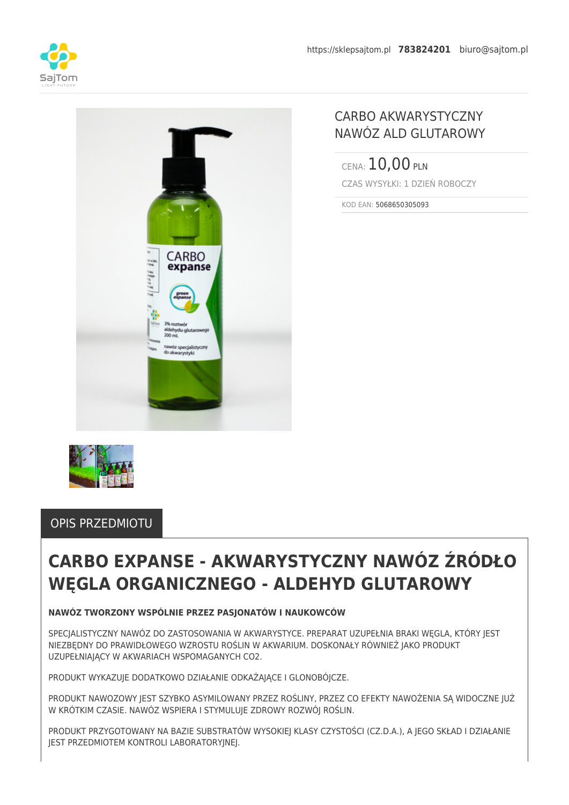



## CARBO AKWARYSTYCZNY NAWÓZ ALD GLUTAROWY

CENA: 10,00 PLN CZAS WYSYŁKI: 1 DZIEŃ ROBOCZY

KOD EAN: 5068650305093



### OPIS PRZEDMIOTU

# **CARBO EXPANSE - AKWARYSTYCZNY NAWÓZ ŹRÓDŁO WĘGLA ORGANICZNEGO - ALDEHYD GLUTAROWY**

### **NAWÓZ TWORZONY WSPÓLNIE PRZEZ PASJONATÓW I NAUKOWCÓW**

SPECIALISTYCZNY NAWÓZ DO ZASTOSOWANIA W AKWARYSTYCE. PREPARAT UZUPEŁNIA BRAKI WEGLA, KTÓRY IEST NIEZBĘDNY DO PRAWIDŁOWEGO WZROSTU ROŚLIN W AKWARIUM. DOSKONAŁY RÓWNIEŻ JAKO PRODUKT UZUPEŁNIAJĄCY W AKWARIACH WSPOMAGANYCH CO2.

PRODUKT WYKAZUJE DODATKOWO DZIAŁANIE ODKAŻAJĄCE I GLONOBÓJCZE.

PRODUKT NAWOZOWY JEST SZYBKO ASYMILOWANY PRZEZ ROŚLINY, PRZEZ CO EFEKTY NAWOŻENIA SĄ WIDOCZNE JUŻ W KRÓTKIM CZASIE. NAWÓZ WSPIERA I STYMULUJE ZDROWY ROZWÓJ ROŚLIN.

PRODUKT PRZYGOTOWANY NA BAZIE SUBSTRATÓW WYSOKIEJ KLASY CZYSTOŚCI (CZ.D.A.), A JEGO SKŁAD I DZIAŁANIE JEST PRZEDMIOTEM KONTROLI LABORATORYJNEJ.